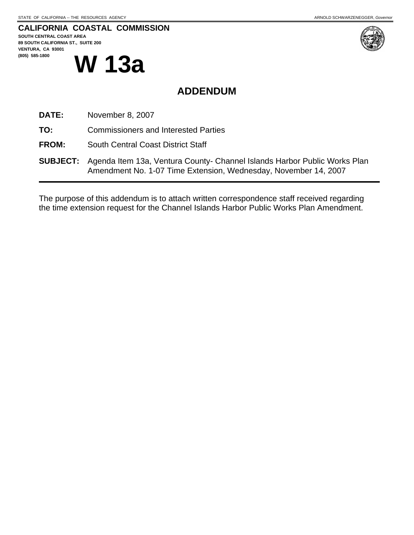## **CALIFORNIA COASTAL COMMISSION**

**SOUTH CENTRAL COAST AREA 89 SOUTH CALIFORNIA ST., SUITE 200 VENTURA, CA 93001 W 13a** 



## **ADDENDUM**

- **DATE:** November 8, 2007
- **TO:** Commissioners and Interested Parties
- **FROM:** South Central Coast District Staff
- **SUBJECT:** Agenda Item 13a, Ventura County- Channel Islands Harbor Public Works Plan Amendment No. 1-07 Time Extension, Wednesday, November 14, 2007

The purpose of this addendum is to attach written correspondence staff received regarding the time extension request for the Channel Islands Harbor Public Works Plan Amendment.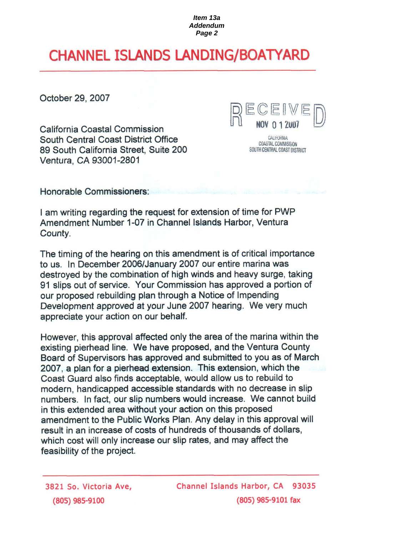# **CHANNEL ISLANDS LANDING/BOATYARD**

October 29, 2007

**California Coastal Commission South Central Coast District Office** 89 South California Street, Suite 200 Ventura, CA 93001-2801



CALIFORNIA COASTAL COMMISSION SOUTH CENTRAL COAST DISTRICT

Honorable Commissioners:

I am writing regarding the request for extension of time for PWP Amendment Number 1-07 in Channel Islands Harbor, Ventura County.

The timing of the hearing on this amendment is of critical importance to us. In December 2006/January 2007 our entire marina was destroyed by the combination of high winds and heavy surge, taking 91 slips out of service. Your Commission has approved a portion of our proposed rebuilding plan through a Notice of Impending Development approved at your June 2007 hearing. We very much appreciate your action on our behalf.

However, this approval affected only the area of the marina within the existing pierhead line. We have proposed, and the Ventura County Board of Supervisors has approved and submitted to you as of March 2007, a plan for a pierhead extension. This extension, which the Coast Guard also finds acceptable, would allow us to rebuild to modern, handicapped accessible standards with no decrease in slip numbers. In fact, our slip numbers would increase. We cannot build in this extended area without your action on this proposed amendment to the Public Works Plan. Any delay in this approval will result in an increase of costs of hundreds of thousands of dollars, which cost will only increase our slip rates, and may affect the feasibility of the project.

3821 So. Victoria Ave, (805) 985-9100

Channel Islands Harbor, CA 93035  $(805)$  985-9101 fax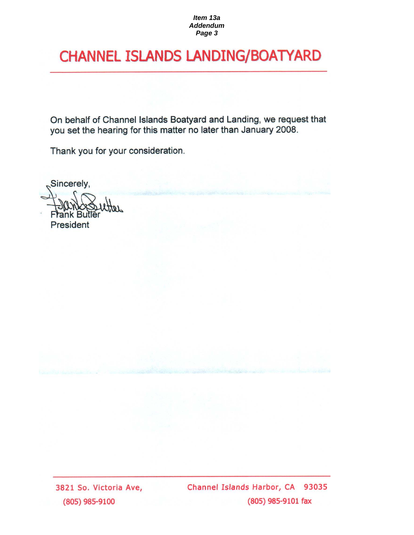# **CHANNEL ISLANDS LANDING/BOATYARD**

On behalf of Channel Islands Boatyard and Landing, we request that you set the hearing for this matter no later than January 2008.

Thank you for your consideration.

Sincerely,

**President** 

3821 So. Victoria Ave, (805) 985-9100

Channel Islands Harbor, CA 93035 (805) 985-9101 fax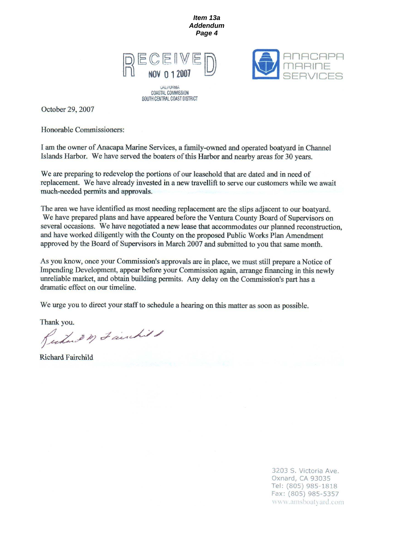

SOUTH CENTRAL COAST DISTRICT



October 29, 2007

Honorable Commissioners:

I am the owner of Anacapa Marine Services, a family-owned and operated boatyard in Channel Islands Harbor. We have served the boaters of this Harbor and nearby areas for 30 years.

We are preparing to redevelop the portions of our leasehold that are dated and in need of replacement. We have already invested in a new travellift to serve our customers while we await much-needed permits and approvals.

The area we have identified as most needing replacement are the slips adjacent to our boatyard. We have prepared plans and have appeared before the Ventura County Board of Supervisors on several occasions. We have negotiated a new lease that accommodates our planned reconstruction, and have worked diligently with the County on the proposed Public Works Plan Amendment approved by the Board of Supervisors in March 2007 and submitted to you that same month.

As you know, once your Commission's approvals are in place, we must still prepare a Notice of Impending Development, appear before your Commission again, arrange financing in this newly unreliable market, and obtain building permits. Any delay on the Commission's part has a dramatic effect on our timeline.

We urge you to direct your staff to schedule a hearing on this matter as soon as possible.

Thank you.

Rudard m Fairchild

**Richard Fairchild** 

3203 S. Victoria Ave. Oxnard, CA 93035 Tel: (805) 985-1818 Fax: (805) 985-5357 www.amsboatyard.com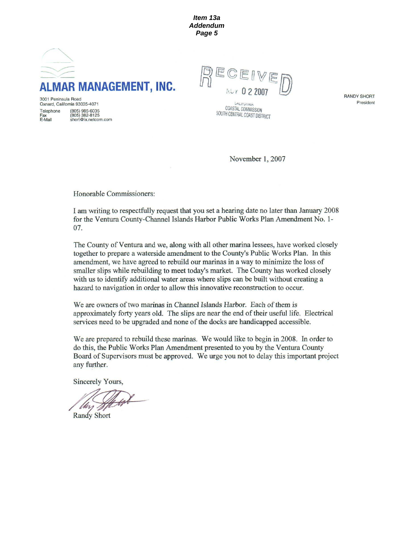

**MUY 022001** 

*UALITUTINIA* COASTAL COMMISSION SOUTH CENTRAL COAST DISTRICT **RANDY SHORT** President

3001 Peninsula Road Oxnard, California 93035-4071 Telephone (805) 985-6035 (805) 382-8125<br>short@ix.netcom.com Fax<br>E-Mail

November 1, 2007

Honorable Commissioners:

I am writing to respectfully request that you set a hearing date no later than January 2008 for the Ventura County-Channel Islands Harbor Public Works Plan Amendment No. 1-07.

The County of Ventura and we, along with all other marina lessees, have worked closely together to prepare a waterside amendment to the County's Public Works Plan. In this amendment, we have agreed to rebuild our marinas in a way to minimize the loss of smaller slips while rebuilding to meet today's market. The County has worked closely with us to identify additional water areas where slips can be built without creating a hazard to navigation in order to allow this innovative reconstruction to occur.

We are owners of two marinas in Channel Islands Harbor. Each of them is approximately forty years old. The slips are near the end of their useful life. Electrical services need to be upgraded and none of the docks are handicapped accessible.

We are prepared to rebuild these marinas. We would like to begin in 2008. In order to do this, the Public Works Plan Amendment presented to you by the Ventura County Board of Supervisors must be approved. We urge you not to delay this important project any further.

Sincerely Yours,

**Randy Short**